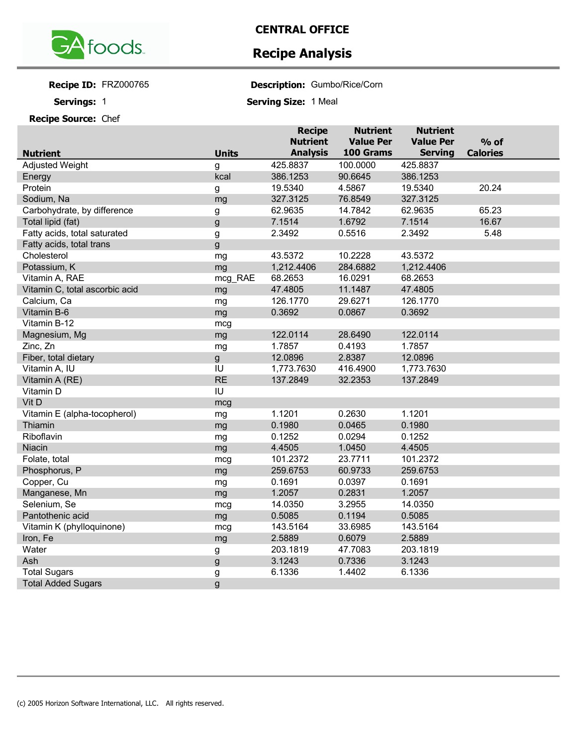

## **CENTRAL OFFICE**

## **Recipe Analysis**

**Recipe ID:** 

Servings: 1

**Recipe Source:** Chef

FRZ000765 **Description:** Gumbo/Rice/Corn

**Servings: Serving Size:** 1 Meal

|                                |              | <b>Recipe</b>   | <b>Nutrient</b>  | <b>Nutrient</b>  |                 |
|--------------------------------|--------------|-----------------|------------------|------------------|-----------------|
|                                |              | <b>Nutrient</b> | <b>Value Per</b> | <b>Value Per</b> | $%$ of          |
| <b>Nutrient</b>                | <b>Units</b> | <b>Analysis</b> | 100 Grams        | <b>Serving</b>   | <b>Calories</b> |
| <b>Adjusted Weight</b>         | g            | 425.8837        | 100.0000         | 425.8837         |                 |
| Energy                         | kcal         | 386.1253        | 90.6645          | 386.1253         |                 |
| Protein                        | g            | 19.5340         | 4.5867           | 19.5340          | 20.24           |
| Sodium, Na                     | mg           | 327.3125        | 76.8549          | 327.3125         |                 |
| Carbohydrate, by difference    | g            | 62.9635         | 14.7842          | 62.9635          | 65.23           |
| Total lipid (fat)              | g            | 7.1514          | 1.6792           | 7.1514           | 16.67           |
| Fatty acids, total saturated   | g            | 2.3492          | 0.5516           | 2.3492           | 5.48            |
| Fatty acids, total trans       | g            |                 |                  |                  |                 |
| Cholesterol                    | mg           | 43.5372         | 10.2228          | 43.5372          |                 |
| Potassium, K                   | mg           | 1,212.4406      | 284.6882         | 1,212.4406       |                 |
| Vitamin A, RAE                 | mcg_RAE      | 68.2653         | 16.0291          | 68.2653          |                 |
| Vitamin C, total ascorbic acid | mg           | 47.4805         | 11.1487          | 47.4805          |                 |
| Calcium, Ca                    | mg           | 126.1770        | 29.6271          | 126.1770         |                 |
| Vitamin B-6                    | mg           | 0.3692          | 0.0867           | 0.3692           |                 |
| Vitamin B-12                   | mcg          |                 |                  |                  |                 |
| Magnesium, Mg                  | mg           | 122.0114        | 28.6490          | 122.0114         |                 |
| Zinc, Zn                       | mg           | 1.7857          | 0.4193           | 1.7857           |                 |
| Fiber, total dietary           | g            | 12.0896         | 2.8387           | 12.0896          |                 |
| Vitamin A, IU                  | IU           | 1,773.7630      | 416.4900         | 1,773.7630       |                 |
| Vitamin A (RE)                 | <b>RE</b>    | 137.2849        | 32.2353          | 137.2849         |                 |
| Vitamin D                      | IU           |                 |                  |                  |                 |
| Vit D                          | mcg          |                 |                  |                  |                 |
| Vitamin E (alpha-tocopherol)   | mg           | 1.1201          | 0.2630           | 1.1201           |                 |
| Thiamin                        | mg           | 0.1980          | 0.0465           | 0.1980           |                 |
| Riboflavin                     | mg           | 0.1252          | 0.0294           | 0.1252           |                 |
| Niacin                         | mg           | 4.4505          | 1.0450           | 4.4505           |                 |
| Folate, total                  | mcg          | 101.2372        | 23.7711          | 101.2372         |                 |
| Phosphorus, P                  | mg           | 259.6753        | 60.9733          | 259.6753         |                 |
| Copper, Cu                     | mg           | 0.1691          | 0.0397           | 0.1691           |                 |
| Manganese, Mn                  | mg           | 1.2057          | 0.2831           | 1.2057           |                 |
| Selenium, Se                   | mcg          | 14.0350         | 3.2955           | 14.0350          |                 |
| Pantothenic acid               | mg           | 0.5085          | 0.1194           | 0.5085           |                 |
| Vitamin K (phylloquinone)      | mcg          | 143.5164        | 33.6985          | 143.5164         |                 |
| Iron, Fe                       | mg           | 2.5889          | 0.6079           | 2.5889           |                 |
| Water                          | g            | 203.1819        | 47.7083          | 203.1819         |                 |
| Ash                            | g            | 3.1243          | 0.7336           | 3.1243           |                 |
| <b>Total Sugars</b>            | g            | 6.1336          | 1.4402           | 6.1336           |                 |
| <b>Total Added Sugars</b>      | g            |                 |                  |                  |                 |